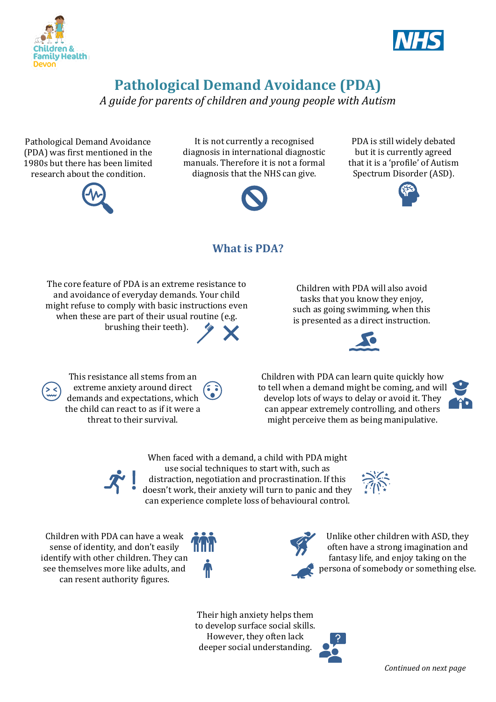



## **Pathological Demand Avoidance (PDA)**

*A guide for parents of children and young people with Autism*

Pathological Demand Avoidance (PDA) was first mentioned in the 1980s but there has been limited research about the condition.



It is not currently a recognised diagnosis in international diagnostic manuals. Therefore it is not a formal diagnosis that the NHS can give.



PDA is still widely debated but it is currently agreed that it is a 'profile' of Autism Spectrum Disorder (ASD).



## **What is PDA?**

The core feature of PDA is an extreme resistance to and avoidance of everyday demands. Your child might refuse to comply with basic instructions even when these are part of their usual routine (e.g. brushing their teeth).

Children with PDA will also avoid tasks that you know they enjoy, such as going swimming, when this is presented as a direct instruction.



This resistance all stems from an extreme anxiety around direct demands and expectations, which the child can react to as if it were a threat to their survival.

Children with PDA can learn quite quickly how to tell when a demand might be coming, and will develop lots of ways to delay or avoid it. They can appear extremely controlling, and others

might perceive them as being manipulative.





When faced with a demand, a child with PDA might use social techniques to start with, such as distraction, negotiation and procrastination. If this doesn't work, their anxiety will turn to panic and they can experience complete loss of behavioural control.



Children with PDA can have a weak sense of identity, and don't easily identify with other children. They can see themselves more like adults, and can resent authority figures.





Unlike other children with ASD, they often have a strong imagination and fantasy life, and enjoy taking on the persona of somebody or something else.

Their high anxiety helps them to develop surface social skills. However, they often lack deeper social understanding.